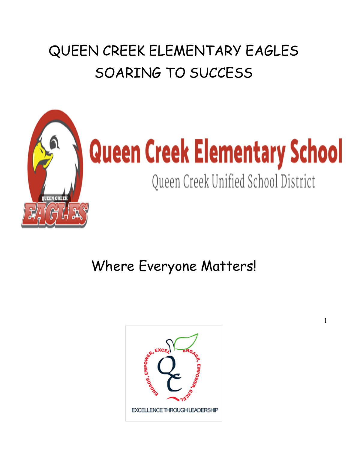## QUEEN CREEK ELEMENTARY EAGLES SOARING TO SUCCESS



# **Queen Creek Elementary School**

Queen Creek Unified School District

1

Where Everyone Matters!

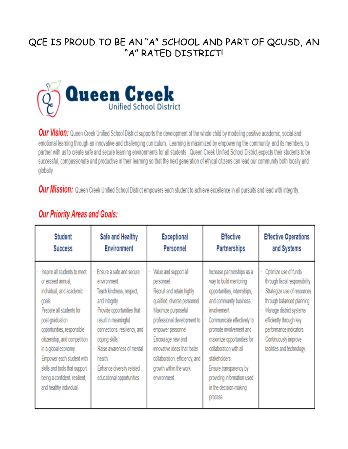## QCE IS PROUD TO BE AN "A" SCHOOL AND PART OF QCUSD, AN "A" RATED DISTRICTI



Our Vision: Queen Creek Unified School District supports the development of the whole child by modeling positive academic, social and emotional learning through an innovative and challenging curriculum. Learning is maximized by empowering the community, and its members, to partner with us to create safe and secure learning environments for all students. Queen Creek Unified School District expects their students to be successful, compassionate and productive in their learning so that the next generation of ethical citizens can lead our community both locally and globally.

Our Mission: Queen Creek Unified School District empowers each student to achieve excellence in all pursuits and lead with integrity.

| <b>Student</b>                                                                                                                                                                                                                                                                                                                                         | Safe and Healthy                                                                                                                                                                                                                                                                                 | <b>Exceptional</b>                                                                                                                                                                                                                                                                                             | <b>Effective</b>                                                                                                                                                                                                                                                                                                                                              | <b>Effective Operations</b>                                                                                                                                                                                                                                 |
|--------------------------------------------------------------------------------------------------------------------------------------------------------------------------------------------------------------------------------------------------------------------------------------------------------------------------------------------------------|--------------------------------------------------------------------------------------------------------------------------------------------------------------------------------------------------------------------------------------------------------------------------------------------------|----------------------------------------------------------------------------------------------------------------------------------------------------------------------------------------------------------------------------------------------------------------------------------------------------------------|---------------------------------------------------------------------------------------------------------------------------------------------------------------------------------------------------------------------------------------------------------------------------------------------------------------------------------------------------------------|-------------------------------------------------------------------------------------------------------------------------------------------------------------------------------------------------------------------------------------------------------------|
| <b>Success</b>                                                                                                                                                                                                                                                                                                                                         | <b>Environment</b>                                                                                                                                                                                                                                                                               | Personnel                                                                                                                                                                                                                                                                                                      | <b>Partnerships</b>                                                                                                                                                                                                                                                                                                                                           | and Systems                                                                                                                                                                                                                                                 |
| Inspire all students to meet<br>or exceed annual,<br>individual, and academic<br>goals.<br>Prepare all students for<br>post-graduation<br>opportunities, responsible<br>citizenship, and competition<br>in a global economy.<br>Empower each student with<br>skills and tools that support<br>being a confident, resilient,<br>and healthy individual. | Ensure a safe and secure<br>environment<br>Teach kindness, respect,<br>and integrity.<br>Provide opportunities that<br>result in meaningful<br>connections, resiliency, and<br>coping skills.<br>Raise awareness of mental<br>health.<br>Enhance diversity related<br>educational opportunities. | Value and support all<br>personnel.<br>Recruit and retain highly<br>qualified, diverse personnel.<br>Maximize purposeful<br>professional development to<br>empower personnel.<br>Encourage new and<br>innovative ideas that foster<br>collaboration, efficiency, and<br>growth within the work<br>environment. | Increase partnerships as a<br>way to build mentoring<br>opportunities, internships,<br>and community business<br>involvement.<br>Communicate effectively to<br>promote involvement and<br>maximize opportunities for<br>collaboration with all<br>stakeholders.<br>Ensure transparency by<br>providing information used<br>in the decision-making<br>process. | Optimize use of funds<br>through fiscal responsibility.<br>Strategize use of resources<br>through balanced planning.<br>Manage district systems<br>efficiently through key<br>performance indicators.<br>Continuously improve<br>facilities and technology. |

## **Our Priority Areas and Goals:**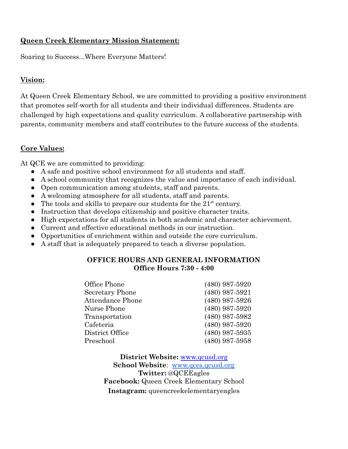#### **Queen Creek Elementary Mission Statement:**

Soaring to Success...Where Everyone Matters!

#### **Vision:**

At Queen Creek Elementary School, we are committed to providing a positive environment that promotes self-worth for all students and their individual differences. Students are challenged by high expectations and quality curriculum. A collaborative partnership with parents, community members and staff contributes to the future success of the students.

#### **Core Values:**

At QCE we are committed to providing:

- A safe and positive school environment for all students and staff.
- A school community that recognizes the value and importance of each individual.
- Open communication among students, staff and parents.
- A welcoming atmosphere for all students, staff and parents.
- The tools and skills to prepare our students for the  $21<sup>st</sup>$  century.
- Instruction that develops citizenship and positive character traits.
- High expectations for all students in both academic and character achievement.
- Current and effective educational methods in our instruction.
- Opportunities of enrichment within and outside the core curriculum.
- A staff that is adequately prepared to teach a diverse population.

#### **OFFICE HOURS AND GENERAL INFORMATION Office Hours 7:30 - 4:00**

| Office Phone            | $(480)$ 987-5920 |
|-------------------------|------------------|
| Secretary Phone         | $(480)$ 987-5921 |
| <b>Attendance Phone</b> | $(480)$ 987-5926 |
| Nurse Phone             | $(480)$ 987-5920 |
| Transportation          | $(480)$ 987-5982 |
| Cafeteria               | $(480)$ 987-5920 |
| District Office         | $(480)$ 987-5935 |
| Preschool               | $(480)$ 987-5958 |

**District Website:** [www.qcusd.org](http://www.qcusd.org) **School Website**: [www.qces.qcusd.org](http://www.qces.qcusd.org) **Twitter:** @QCEEagles **Facebook:** Queen Creek Elementary School **Instagram:** queencreekelementaryeagles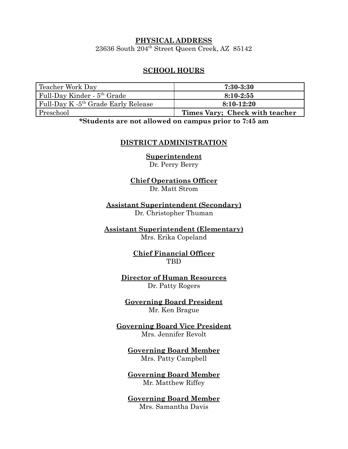#### **PHYSICAL ADDRESS** 23636 South 204th Street Queen Creek, AZ 85142

#### **SCHOOL HOURS**

| Teacher Work Day                                | $7:30 - 3:30$                  |
|-------------------------------------------------|--------------------------------|
| Full-Day Kinder - 5 <sup>th</sup> Grade         | $8:10-2:55$                    |
| Full-Day K -5 <sup>th</sup> Grade Early Release | $8:10-12:20$                   |
| Preschool                                       | Times Vary; Check with teacher |

**\*Students are not allowed on campus prior to 7:45 am**

#### **DISTRICT ADMINISTRATION**

**Superintendent** Dr. Perry Berry

**Chief Operations Officer** Dr. Matt Strom

**Assistant Superintendent (Secondary)** Dr. Christopher Thuman

**Assistant Superintendent (Elementary)** Mrs. Erika Copeland

> **Chief Financial Officer** TBD

**Director of Human Resources** Dr. Patty Rogers

**Governing Board President** Mr. Ken Brague

**Governing Board Vice President** Mrs. Jennifer Revolt

**Governing Board Member** Mrs. Patty Campbell

**Governing Board Member** Mr. Matthew Riffey

**Governing Board Member** Mrs. Samantha Davis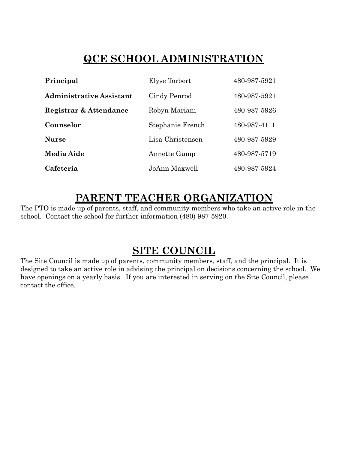## **QCE SCHOOL ADMINISTRATION**

| Principal                       | Elyse Torbert    | 480-987-5921 |
|---------------------------------|------------------|--------------|
| <b>Administrative Assistant</b> | Cindy Penrod     | 480-987-5921 |
| Registrar & Attendance          | Robyn Mariani    | 480-987-5926 |
| Counselor                       | Stephanie French | 480-987-4111 |
| <b>Nurse</b>                    | Lisa Christensen | 480-987-5929 |
| <b>Media Aide</b>               | Annette Gump     | 480-987-5719 |
| Cafeteria                       | JoAnn Maxwell    | 480-987-5924 |

## **PARENT TEACHER ORGANIZATION**

The PTO is made up of parents, staff, and community members who take an active role in the school. Contact the school for further information (480) 987-5920.

## **SITE COUNCIL**

The Site Council is made up of parents, community members, staff, and the principal. It is designed to take an active role in advising the principal on decisions concerning the school. We have openings on a yearly basis. If you are interested in serving on the Site Council, please contact the office.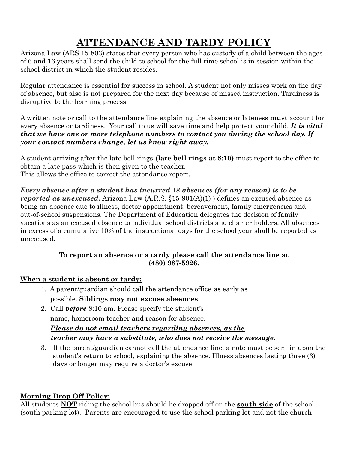## **ATTENDANCE AND TARDY POLICY**

Arizona Law (ARS 15-803) states that every person who has custody of a child between the ages of 6 and 16 years shall send the child to school for the full time school is in session within the school district in which the student resides.

Regular attendance is essential for success in school. A student not only misses work on the day of absence, but also is not prepared for the next day because of missed instruction. Tardiness is disruptive to the learning process.

A written note or call to the attendance line explaining the absence or lateness **must** account for every absence or tardiness. Your call to us will save time and help protect your child. *It is vital that we have one or more telephone numbers to contact you during the school day. If your contact numbers change, let us know right away.*

A student arriving after the late bell rings **(late bell rings at 8:10)** must report to the office to obtain a late pass which is then given to the teacher. This allows the office to correct the attendance report.

*Every absence after a student has incurred 18 absences (for any reason) is to be reported as unexcused.* Arizona Law (A.R.S. §15-901(A)(1) ) defines an excused absence as being an absence due to illness, doctor appointment, bereavement, family emergencies and out-of-school suspensions. The Department of Education delegates the decision of family vacations as an excused absence to individual school districts and charter holders. All absences in excess of a cumulative 10% of the instructional days for the school year shall be reported as unexcused*.*

#### **To report an absence or a tardy please call the attendance line at (480) 987-5926.**

#### **When a student is absent or tardy:**

- 1. A parent/guardian should call the attendance office as early as possible. **Siblings may not excuse absences**.
- 2. Call *before* 8:10 am. Please specify the student's name, homeroom teacher and reason for absence. *Please do not email teachers regarding absences, as the teacher may have a substitute, who does not receive the message***.**
- 3. If the parent/guardian cannot call the attendance line, a note must be sent in upon the student's return to school, explaining the absence. Illness absences lasting three (3) days or longer may require a doctor's excuse.

#### **Morning Drop Off Policy:**

All students **NOT** riding the school bus should be dropped off on the **south side** of the school (south parking lot). Parents are encouraged to use the school parking lot and not the church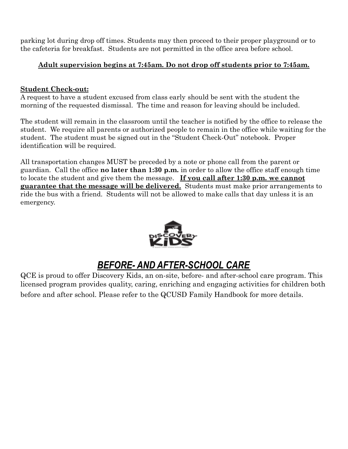parking lot during drop off times. Students may then proceed to their proper playground or to the cafeteria for breakfast. Students are not permitted in the office area before school.

#### **Adult supervision begins at 7:45am. Do not drop off students prior to 7:45am.**

#### **Student Check-out:**

A request to have a student excused from class early should be sent with the student the morning of the requested dismissal. The time and reason for leaving should be included.

The student will remain in the classroom until the teacher is notified by the office to release the student. We require all parents or authorized people to remain in the office while waiting for the student. The student must be signed out in the "Student Check-Out" notebook. Proper identification will be required.

All transportation changes MUST be preceded by a note or phone call from the parent or guardian. Call the office **no later than 1:30 p.m.** in order to allow the office staff enough time to locate the student and give them the message. **If you call after 1:30 p.m. we cannot guarantee that the message will be delivered.** Students must make prior arrangements to ride the bus with a friend. Students will not be allowed to make calls that day unless it is an emergency.



## *BEFORE- AND AFTER-SCHOOL CARE*

QCE is proud to offer Discovery Kids, an on-site, before- and after-school care program. This licensed program provides quality, caring, enriching and engaging activities for children both before and after school. Please refer to the QCUSD Family Handbook for more details.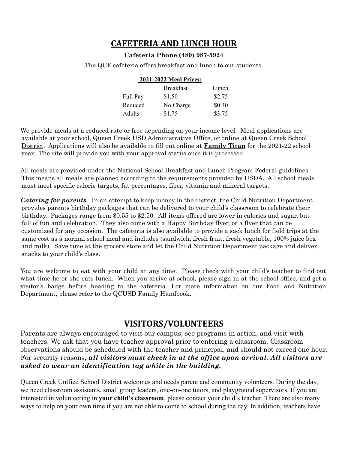#### **CAFETERIA AND LUNCH HOUR**

#### **Cafeteria Phone (480) 987-5924**

The QCE cafeteria offers breakfast and lunch to our students.

| 2021-2022 Meal Prices: |                  |        |
|------------------------|------------------|--------|
|                        | <b>Breakfast</b> | Lunch  |
| Full Pay               | \$1.50           | \$2.75 |
| Reduced                | No Charge        | \$0.40 |
| Adults                 | \$1.75           | \$3.75 |

We provide meals at a reduced rate or free depending on your income level. Meal applications are available at your school, Queen Creek USD Administrative Office, or online at [Queen](http://www.qcusd.org) Creek School District. Applications will also be available to fill out online at **[Family](http://family.titank12.com/) Titan** for the 2021-22 school year. The site will provide you with your approval status once it is processed.

All meals are provided under the National School Breakfast and Lunch Program Federal guidelines. This means all meals are planned according to the requirements provided by USDA. All school meals must meet specific calorie targets, fat percentages, fiber, vitamin and mineral targets.

*Catering for parents.* In an attempt to keep money in the district, the Child Nutrition Department provides parents birthday packages that can be delivered to your child's classroom to celebrate their birthday. Packages range from \$0.55 to \$2.50. All items offered are lower in calories and sugar, but full of fun and celebration. They also come with a Happy Birthday flyer, or a flyer that can be customized for any occasion. The cafeteria is also available to provide a sack lunch for field trips at the same cost as a normal school meal and includes (sandwich, fresh fruit, fresh vegetable, 100% juice box and milk). Save time at the grocery store and let the Child Nutrition Department package and deliver snacks to your child's class.

You are welcome to eat with your child at any time. Please check with your child's teacher to find out what time he or she eats lunch. When you arrive at school, please sign in at the school office, and get a visitor's badge before heading to the cafeteria. For more information on our Food and Nutrition Department, please refer to the QCUSD Family Handbook.

#### **VISITORS/VOLUNTEERS**

Parents are always encouraged to visit our campus, see programs in action, and visit with teachers. We ask that you have teacher approval prior to entering a classroom. Classroom observations should be scheduled with the teacher and principal, and should not exceed one hour. For security reasons, *all visitors must check in at the office upon arrival*. *All visitors are asked to wear an identification tag while in the building.*

Queen Creek Unified School District welcomes and needs parent and community volunteers. During the day, we need classroom assistants, small group leaders, one-on-one tutors, and playground supervisors. If you are interested in volunteering in **your child's classroom**, please contact your child's teacher. There are also many ways to help on your own time if you are not able to come to school during the day. In addition, teachers have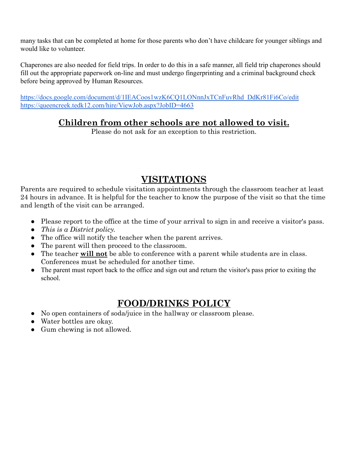many tasks that can be completed at home for those parents who don't have childcare for younger siblings and would like to volunteer.

Chaperones are also needed for field trips. In order to do this in a safe manner, all field trip chaperones should fill out the appropriate paperwork on-line and must undergo fingerprinting and a criminal background check before being approved by Human Resources.

[https://docs.google.com/document/d/1IEACoos1wzK6CQ1LONnnJxTCnFuvRhd\\_DdKr81Fi6Co/edit](https://docs.google.com/document/d/1IEACoos1wzK6CQ1LONnnJxTCnFuvRhd_DdKr81Fi6Co/edit) <https://queencreek.tedk12.com/hire/ViewJob.aspx?JobID=4663>

## **Children from other schools are not allowed to visit.**

Please do not ask for an exception to this restriction.

## **VISITATIONS**

Parents are required to schedule visitation appointments through the classroom teacher at least 24 hours in advance. It is helpful for the teacher to know the purpose of the visit so that the time and length of the visit can be arranged.

- Please report to the office at the time of your arrival to sign in and receive a visitor's pass.
- *This is a District policy.*
- The office will notify the teacher when the parent arrives.
- The parent will then proceed to the classroom.
- The teacher **will not** be able to conference with a parent while students are in class. Conferences must be scheduled for another time.
- The parent must report back to the office and sign out and return the visitor's pass prior to exiting the school.

## **FOOD/DRINKS POLICY**

- No open containers of soda/juice in the hallway or classroom please.
- Water bottles are okay.
- Gum chewing is not allowed.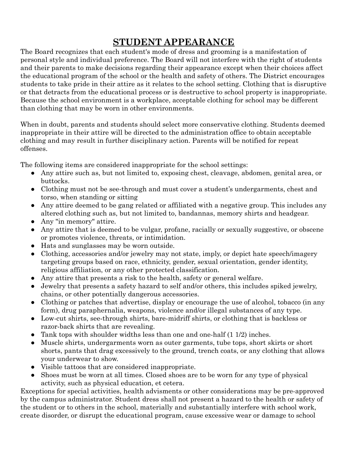## **STUDENT APPEARANCE**

The Board recognizes that each student's mode of dress and grooming is a manifestation of personal style and individual preference. The Board will not interfere with the right of students and their parents to make decisions regarding their appearance except when their choices affect the educational program of the school or the health and safety of others. The District encourages students to take pride in their attire as it relates to the school setting. Clothing that is disruptive or that detracts from the educational process or is destructive to school property is inappropriate. Because the school environment is a workplace, acceptable clothing for school may be different than clothing that may be worn in other environments.

When in doubt, parents and students should select more conservative clothing. Students deemed inappropriate in their attire will be directed to the administration office to obtain acceptable clothing and may result in further disciplinary action. Parents will be notified for repeat offenses.

The following items are considered inappropriate for the school settings:

- Any attire such as, but not limited to, exposing chest, cleavage, abdomen, genital area, or buttocks.
- Clothing must not be see-through and must cover a student's undergarments, chest and torso, when standing or sitting
- Any attire deemed to be gang related or affiliated with a negative group. This includes any altered clothing such as, but not limited to, bandannas, memory shirts and headgear.
- Any "in memory" attire.
- Any attire that is deemed to be vulgar, profane, racially or sexually suggestive, or obscene or promotes violence, threats, or intimidation.
- Hats and sunglasses may be worn outside.
- Clothing, accessories and/or jewelry may not state, imply, or depict hate speech/imagery targeting groups based on race, ethnicity, gender, sexual orientation, gender identity, religious affiliation, or any other protected classification.
- Any attire that presents a risk to the health, safety or general welfare.
- Jewelry that presents a safety hazard to self and/or others, this includes spiked jewelry, chains, or other potentially dangerous accessories.
- Clothing or patches that advertise, display or encourage the use of alcohol, tobacco (in any form), drug paraphernalia, weapons, violence and/or illegal substances of any type.
- Low-cut shirts, see-through shirts, bare-midriff shirts, or clothing that is backless or razor-back shirts that are revealing.
- Tank tops with shoulder widths less than one and one-half  $(1\ 1/2)$  inches.
- Muscle shirts, undergarments worn as outer garments, tube tops, short skirts or short shorts, pants that drag excessively to the ground, trench coats, or any clothing that allows your underwear to show.
- Visible tattoos that are considered inappropriate.
- Shoes must be worn at all times. Closed shoes are to be worn for any type of physical activity, such as physical education, et cetera.

Exceptions for special activities, health advisments or other considerations may be pre-approved by the campus administrator. Student dress shall not present a hazard to the health or safety of the student or to others in the school, materially and substantially interfere with school work, create disorder, or disrupt the educational program, cause excessive wear or damage to school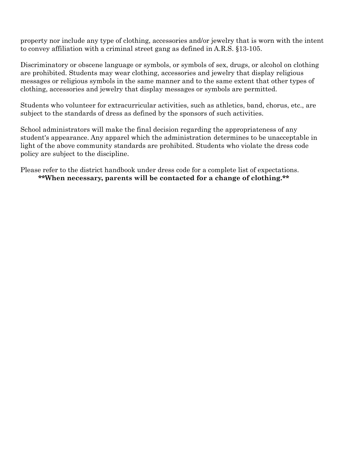property nor include any type of clothing, accessories and/or jewelry that is worn with the intent to convey affiliation with a criminal street gang as defined in A.R.S. §13-105.

Discriminatory or obscene language or symbols, or symbols of sex, drugs, or alcohol on clothing are prohibited. Students may wear clothing, accessories and jewelry that display religious messages or religious symbols in the same manner and to the same extent that other types of clothing, accessories and jewelry that display messages or symbols are permitted.

Students who volunteer for extracurricular activities, such as athletics, band, chorus, etc., are subject to the standards of dress as defined by the sponsors of such activities.

School administrators will make the final decision regarding the appropriateness of any student's appearance. Any apparel which the administration determines to be unacceptable in light of the above community standards are prohibited. Students who violate the dress code policy are subject to the discipline.

Please refer to the district handbook under dress code for a complete list of expectations. **\*\*When necessary, parents will be contacted for a change of clothing.\*\***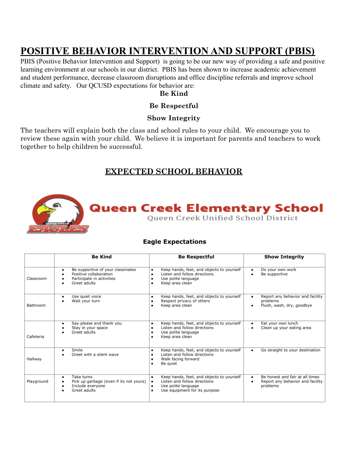## **POSITIVE BEHAVIOR INTERVENTION AND SUPPORT (PBIS)**

PBIS (Positive Behavior Intervention and Support) is going to be our new way of providing a safe and positive learning environment at our schools in our district. PBIS has been shown to increase academic achievement and student performance, decrease classroom disruptions and office discipline referrals and improve school climate and safety. Our QCUSD expectations for behavior are:

#### **Be Kind**

#### **Be Respectful**

#### **Show Integrity**

The teachers will explain both the class and school rules to your child. We encourage you to review these again with your child. We believe it is important for parents and teachers to work together to help children be successful.

#### **EXPECTED SCHOOL BEHAVIOR**



#### **Eagle Expectations**

|            | <b>Be Kind</b>                                                                                               | <b>Be Respectful</b>                                                                                                                                  | <b>Show Integrity</b>                                                           |
|------------|--------------------------------------------------------------------------------------------------------------|-------------------------------------------------------------------------------------------------------------------------------------------------------|---------------------------------------------------------------------------------|
| Classroom  | Be supportive of your classmates<br>٠<br>Positive collaboration<br>Participate in activities<br>Greet adults | Keep hands, feet, and objects to yourself<br>٠<br>Listen and follow directions<br>٠<br>Use polite language<br>٠<br>Keep area clean<br>٠               | Do your own work<br>Be supportive<br>$\bullet$                                  |
| Bathroom   | Use quiet voice<br>٠<br>Wait your turn                                                                       | Keep hands, feet, and objects to yourself<br>٠<br>Respect privacy of others<br>٠<br>Keep area clean<br>٠                                              | Report any behavior and facility<br>problems<br>Flush, wash, dry, goodbye<br>٠  |
| Cafeteria  | Say please and thank you<br>٠<br>Stay in your space<br>Greet adults                                          | Keep hands, feet, and objects to yourself<br>٠<br>Listen and follow directions<br>٠<br>Use polite language<br>٠<br>Keep area clean<br>٠               | Eat your own lunch<br>٠<br>Clean up your eating area<br>٠                       |
| Hallway    | Smile<br>٠<br>Greet with a silent wave                                                                       | Keep hands, feet, and objects to yourself<br>٠<br>Listen and follow directions<br>٠<br>Walk facing forward<br>٠<br>Be quiet<br>٠                      | Go straight to your destination<br>٠                                            |
| Playground | Take turns<br>٠<br>Pick up garbage (even if its not yours)<br>Include everyone<br>Greet adults               | Keep hands, feet, and objects to yourself<br>٠<br>Listen and follow directions<br>٠<br>Use polite language<br>٠<br>Use equipment for its purpose<br>٠ | Be honest and fair at all times<br>Report any behavior and facility<br>problems |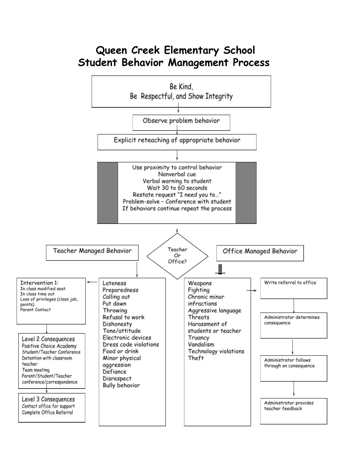## **Queen Creek Elementary School Student Behavior Management Process**

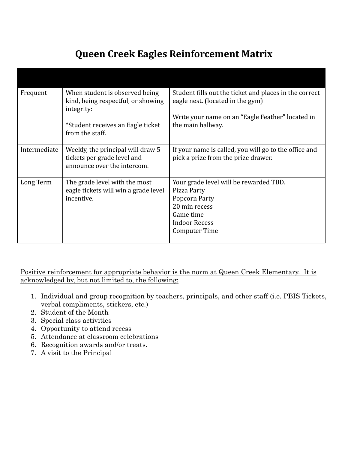## **Queen Creek Eagles Reinforcement Matrix**

| Frequent     | When student is observed being<br>kind, being respectful, or showing<br>integrity:              | Student fills out the ticket and places in the correct<br>eagle nest. (located in the gym)                                                    |
|--------------|-------------------------------------------------------------------------------------------------|-----------------------------------------------------------------------------------------------------------------------------------------------|
|              | *Student receives an Eagle ticket<br>from the staff.                                            | Write your name on an "Eagle Feather" located in<br>the main hallway.                                                                         |
| Intermediate | Weekly, the principal will draw 5<br>tickets per grade level and<br>announce over the intercom. | If your name is called, you will go to the office and<br>pick a prize from the prize drawer.                                                  |
| Long Term    | The grade level with the most<br>eagle tickets will win a grade level<br>incentive.             | Your grade level will be rewarded TBD.<br>Pizza Party<br>Popcorn Party<br>20 min recess<br>Game time<br><b>Indoor Recess</b><br>Computer Time |

Positive reinforcement for appropriate behavior is the norm at Queen Creek Elementary. It is acknowledged by, but not limited to, the following:

- 1. Individual and group recognition by teachers, principals, and other staff (i.e. PBIS Tickets, verbal compliments, stickers, etc.)
- 2. Student of the Month
- 3. Special class activities
- 4. Opportunity to attend recess
- 5. Attendance at classroom celebrations
- 6. Recognition awards and/or treats.
- 7. A visit to the Principal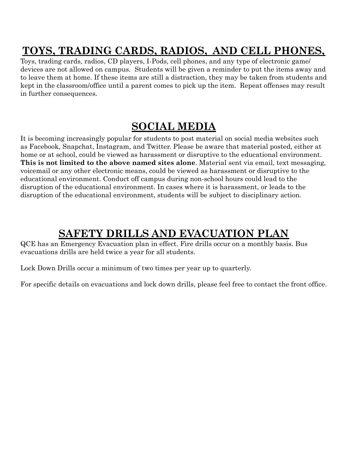## **TOYS, TRADING CARDS, RADIOS, AND CELL PHONES,**

Toys, trading cards, radios, CD players, I-Pods, cell phones, and any type of electronic game/ devices are not allowed on campus. Students will be given a reminder to put the items away and to leave them at home. If these items are still a distraction, they may be taken from students and kept in the classroom/office until a parent comes to pick up the item. Repeat offenses may result in further consequences.

## **SOCIAL MEDIA**

It is becoming increasingly popular for students to post material on social media websites such as Facebook, Snapchat, Instagram, and Twitter. Please be aware that material posted, either at home or at school, could be viewed as harassment or disruptive to the educational environment. **This is not limited to the above named sites alone**. Material sent via email, text messaging, voicemail or any other electronic means, could be viewed as harassment or disruptive to the educational environment. Conduct off campus during non-school hours could lead to the disruption of the educational environment. In cases where it is harassment, or leads to the disruption of the educational environment, students will be subject to disciplinary action.

## **SAFETY DRILLS AND EVACUATION PLAN**

QCE has an Emergency Evacuation plan in effect. Fire drills occur on a monthly basis. Bus evacuations drills are held twice a year for all students.

Lock Down Drills occur a minimum of two times per year up to quarterly.

For specific details on evacuations and lock down drills, please feel free to contact the front office.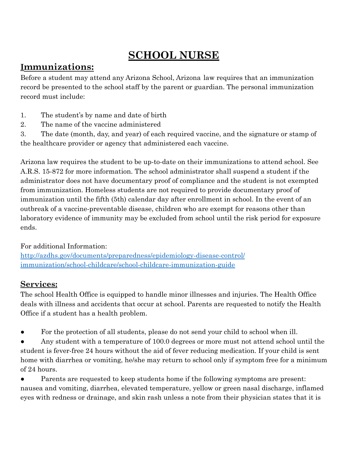## **SCHOOL NURSE**

### **Immunizations:**

Before a student may attend any Arizona School, Arizona law requires that an immunization record be presented to the school staff by the parent or guardian. The personal immunization record must include:

- 1. The student's by name and date of birth
- 2. The name of the vaccine administered

3. The date (month, day, and year) of each required vaccine, and the signature or stamp of the healthcare provider or agency that administered each vaccine.

Arizona law requires the student to be up-to-date on their immunizations to attend school. See A.R.S. 15-872 for more information. The school administrator shall suspend a student if the administrator does not have documentary proof of compliance and the student is not exempted from immunization. Homeless students are not required to provide documentary proof of immunization until the fifth (5th) calendar day after enrollment in school. In the event of an outbreak of a vaccine-preventable disease, children who are exempt for reasons other than laboratory evidence of immunity may be excluded from school until the risk period for exposure ends.

#### For additional Information[:](https://azdhs.gov/preparedness/epidemiology-disease-control/immunization/index.php#schools-immunization-forms)

[http://azdhs.gov/documents/preparedness/epidemiology-disease-control/](https://azdhs.gov/preparedness/epidemiology-disease-control/immunization/index.php#schools-immunization-forms) [immunization/school-childcare/school-childcare-immunization-guide](https://azdhs.gov/preparedness/epidemiology-disease-control/immunization/index.php#schools-immunization-forms)

#### **Services:**

The school Health Office is equipped to handle minor illnesses and injuries. The Health Office deals with illness and accidents that occur at school. Parents are requested to notify the Health Office if a student has a health problem.

- For the protection of all students, please do not send your child to school when ill.
- Any student with a temperature of 100.0 degrees or more must not attend school until the student is fever-free 24 hours without the aid of fever reducing medication. If your child is sent home with diarrhea or vomiting, he/she may return to school only if symptom free for a minimum of 24 hours.

Parents are requested to keep students home if the following symptoms are present: nausea and vomiting, diarrhea, elevated temperature, yellow or green nasal discharge, inflamed eyes with redness or drainage, and skin rash unless a note from their physician states that it is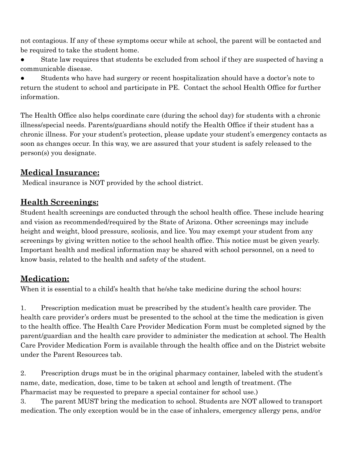not contagious. If any of these symptoms occur while at school, the parent will be contacted and be required to take the student home.

● State law requires that students be excluded from school if they are suspected of having a communicable disease.

Students who have had surgery or recent hospitalization should have a doctor's note to return the student to school and participate in PE. Contact the school Health Office for further information.

The Health Office also helps coordinate care (during the school day) for students with a chronic illness/special needs. Parents/guardians should notify the Health Office if their student has a chronic illness. For your student's protection, please update your student's emergency contacts as soon as changes occur. In this way, we are assured that your student is safely released to the person(s) you designate.

#### **Medical Insurance:**

Medical insurance is NOT provided by the school district.

## **Health Screenings:**

Student health screenings are conducted through the school health office. These include hearing and vision as recommended/required by the State of Arizona. Other screenings may include height and weight, blood pressure, scoliosis, and lice. You may exempt your student from any screenings by giving written notice to the school health office. This notice must be given yearly. Important health and medical information may be shared with school personnel, on a need to know basis, related to the health and safety of the student.

## **Medication:**

When it is essential to a child's health that he/she take medicine during the school hours:

1. Prescription medication must be prescribed by the student's health care provider. The health care provider's orders must be presented to the school at the time the medication is given to the health office. The Health Care Provider Medication Form must be completed signed by the parent/guardian and the health care provider to administer the medication at school. The Health Care Provider Medication Form is available through the health office and on the District website under the Parent Resources tab.

2. Prescription drugs must be in the original pharmacy container, labeled with the student's name, date, medication, dose, time to be taken at school and length of treatment. (The Pharmacist may be requested to prepare a special container for school use.)

3. The parent MUST bring the medication to school. Students are NOT allowed to transport medication. The only exception would be in the case of inhalers, emergency allergy pens, and/or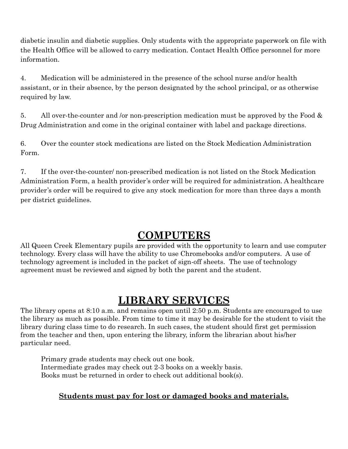diabetic insulin and diabetic supplies. Only students with the appropriate paperwork on file with the Health Office will be allowed to carry medication. Contact Health Office personnel for more information.

4. Medication will be administered in the presence of the school nurse and/or health assistant, or in their absence, by the person designated by the school principal, or as otherwise required by law.

5. All over-the-counter and /or non-prescription medication must be approved by the Food & Drug Administration and come in the original container with label and package directions.

6. Over the counter stock medications are listed on the Stock Medication Administration Form.

7. If the over-the-counter/ non-prescribed medication is not listed on the Stock Medication Administration Form, a health provider's order will be required for administration. A healthcare provider's order will be required to give any stock medication for more than three days a month per district guidelines.

## **COMPUTERS**

All Queen Creek Elementary pupils are provided with the opportunity to learn and use computer technology. Every class will have the ability to use Chromebooks and/or computers. A use of technology agreement is included in the packet of sign-off sheets. The use of technology agreement must be reviewed and signed by both the parent and the student.

## **LIBRARY SERVICES**

The library opens at 8:10 a.m. and remains open until 2:50 p.m. Students are encouraged to use the library as much as possible. From time to time it may be desirable for the student to visit the library during class time to do research. In such cases, the student should first get permission from the teacher and then, upon entering the library, inform the librarian about his/her particular need.

Primary grade students may check out one book. Intermediate grades may check out 2-3 books on a weekly basis. Books must be returned in order to check out additional book(s).

#### **Students must pay for lost or damaged books and materials.**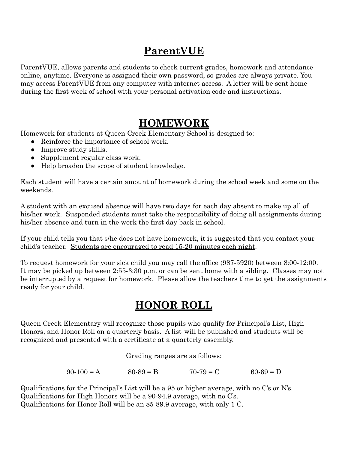## **ParentVUE**

ParentVUE, allows parents and students to check current grades, homework and attendance online, anytime. Everyone is assigned their own password, so grades are always private. You may access ParentVUE from any computer with internet access. A letter will be sent home during the first week of school with your personal activation code and instructions.

## **HOMEWORK**

Homework for students at Queen Creek Elementary School is designed to:

- Reinforce the importance of school work.
- Improve study skills.
- Supplement regular class work.
- Help broaden the scope of student knowledge.

Each student will have a certain amount of homework during the school week and some on the weekends.

A student with an excused absence will have two days for each day absent to make up all of his/her work. Suspended students must take the responsibility of doing all assignments during his/her absence and turn in the work the first day back in school.

If your child tells you that s/he does not have homework, it is suggested that you contact your child's teacher. Students are encouraged to read 15-20 minutes each night.

To request homework for your sick child you may call the office (987-5920) between 8:00-12:00. It may be picked up between 2:55-3:30 p.m. or can be sent home with a sibling. Classes may not be interrupted by a request for homework. Please allow the teachers time to get the assignments ready for your child.

## **HONOR ROLL**

Queen Creek Elementary will recognize those pupils who qualify for Principal's List, High Honors, and Honor Roll on a quarterly basis. A list will be published and students will be recognized and presented with a certificate at a quarterly assembly.

Grading ranges are as follows:

 $90-100 = A$   $80-89 = B$   $70-79 = C$   $60-69 = D$ 

Qualifications for the Principal's List will be a 95 or higher average, with no C's or N's. Qualifications for High Honors will be a 90-94.9 average, with no C's. Qualifications for Honor Roll will be an 85-89.9 average, with only 1 C.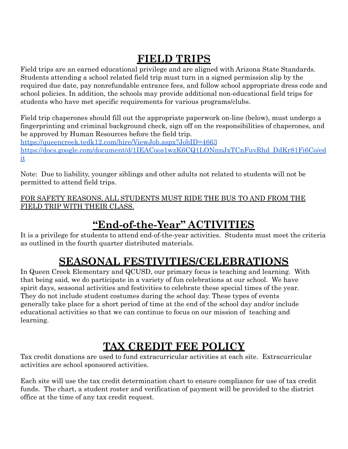## **FIELD TRIPS**

Field trips are an earned educational privilege and are aligned with Arizona State Standards. Students attending a school related field trip must turn in a signed permission slip by the required due date, pay nonrefundable entrance fees, and follow school appropriate dress code and school policies. In addition, the schools may provide additional non-educational field trips for students who have met specific requirements for various programs/clubs.

Field trip chaperones should fill out the appropriate paperwork on-line (below), must undergo a fingerprinting and criminal background check, sign off on the responsibilities of chaperones, and be approved by Human Resources before the field trip.

<https://queencreek.tedk12.com/hire/ViewJob.aspx?JobID=4663> [https://docs.google.com/document/d/1IEACoos1wzK6CQ1LONnnJxTCnFuvRhd\\_DdKr81Fi6Co/ed](https://docs.google.com/document/d/1IEACoos1wzK6CQ1LONnnJxTCnFuvRhd_DdKr81Fi6Co/edit) [it](https://docs.google.com/document/d/1IEACoos1wzK6CQ1LONnnJxTCnFuvRhd_DdKr81Fi6Co/edit)

Note: Due to liability, younger siblings and other adults not related to students will not be permitted to attend field trips.

FOR SAFETY REASONS, ALL STUDENTS MUST RIDE THE BUS TO AND FROM THE FIELD TRIP WITH THEIR CLASS.

## **"End-of-the-Year" ACTIVITIES**

It is a privilege for students to attend end-of-the-year activities. Students must meet the criteria as outlined in the fourth quarter distributed materials.

## **SEASONAL FESTIVITIES/CELEBRATIONS**

In Queen Creek Elementary and QCUSD, our primary focus is teaching and learning. With that being said, we do participate in a variety of fun celebrations at our school. We have spirit days, seasonal activities and festivities to celebrate these special times of the year. They do not include student costumes during the school day. These types of events generally take place for a short period of time at the end of the school day and/or include educational activities so that we can continue to focus on our mission of teaching and learning.

## **TAX CREDIT FEE POLICY**

Tax credit donations are used to fund extracurricular activities at each site. Extracurricular activities are school sponsored activities.

Each site will use the tax credit determination chart to ensure compliance for use of tax credit funds. The chart, a student roster and verification of payment will be provided to the district office at the time of any tax credit request.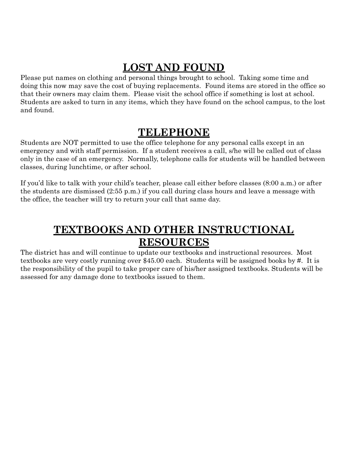## **LOST AND FOUND**

Please put names on clothing and personal things brought to school. Taking some time and doing this now may save the cost of buying replacements. Found items are stored in the office so that their owners may claim them. Please visit the school office if something is lost at school. Students are asked to turn in any items, which they have found on the school campus, to the lost and found.

## **TELEPHONE**

Students are NOT permitted to use the office telephone for any personal calls except in an emergency and with staff permission. If a student receives a call, s/he will be called out of class only in the case of an emergency. Normally, telephone calls for students will be handled between classes, during lunchtime, or after school.

If you'd like to talk with your child's teacher, please call either before classes (8:00 a.m.) or after the students are dismissed (2:55 p.m.) if you call during class hours and leave a message with the office, the teacher will try to return your call that same day.

## **TEXTBOOKS AND OTHER INSTRUCTIONAL RESOURCES**

The district has and will continue to update our textbooks and instructional resources. Most textbooks are very costly running over \$45.00 each. Students will be assigned books by #. It is the responsibility of the pupil to take proper care of his/her assigned textbooks. Students will be assessed for any damage done to textbooks issued to them.